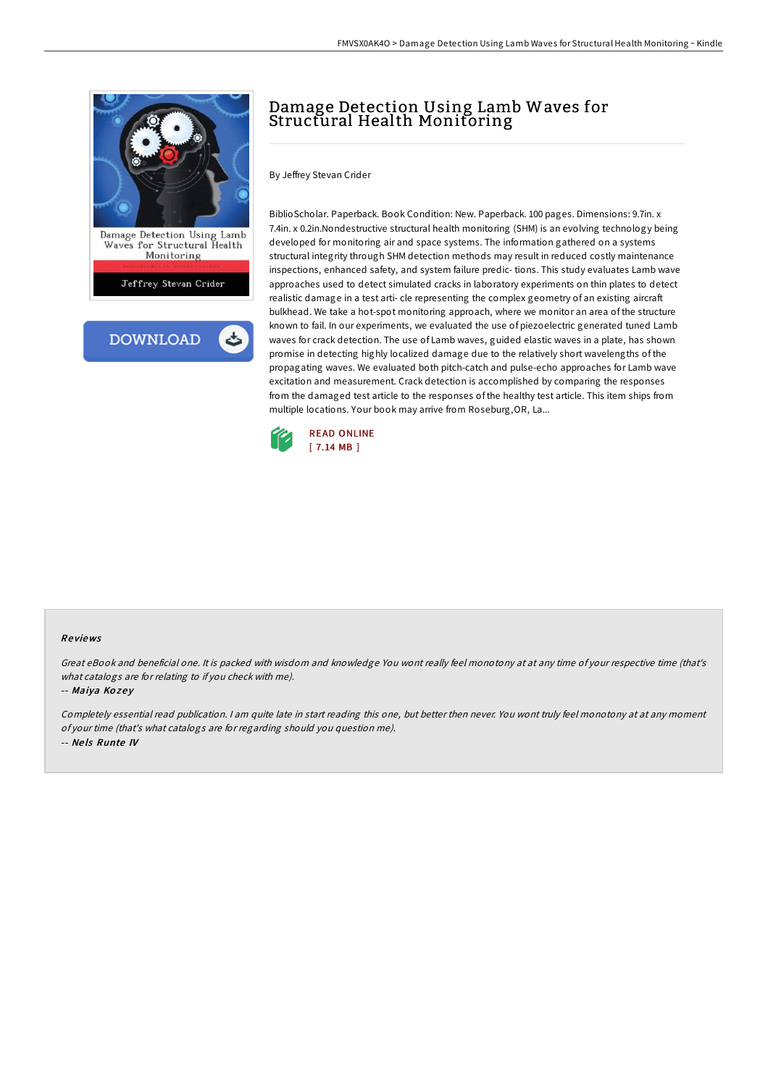

# Damage Detection Using Lamb Waves for Structural Health Monitoring

By Jeffrey Stevan Crider

BiblioScholar. Paperback. Book Condition: New. Paperback. 100 pages. Dimensions: 9.7in. x 7.4in. x 0.2in.Nondestructive structural health monitoring (SHM) is an evolving technology being developed for monitoring air and space systems. The information gathered on a systems structural integrity through SHM detection methods may result in reduced costly maintenance inspections, enhanced safety, and system failure predic- tions. This study evaluates Lamb wave approaches used to detect simulated cracks in laboratory experiments on thin plates to detect realistic damage in a test arti- cle representing the complex geometry of an existing aircraft bulkhead. We take a hot-spot monitoring approach, where we monitor an area of the structure known to fail. In our experiments, we evaluated the use of piezoelectric generated tuned Lamb waves for crack detection. The use of Lamb waves, guided elastic waves in a plate, has shown promise in detecting highly localized damage due to the relatively short wavelengths of the propagating waves. We evaluated both pitch-catch and pulse-echo approaches for Lamb wave excitation and measurement. Crack detection is accomplished by comparing the responses from the damaged test article to the responses of the healthy test article. This item ships from multiple locations. Your book may arrive from Roseburg,OR, La...



#### Re views

Great eBook and beneficial one. It is packed with wisdom and knowledge You wont really feel monotony at at any time of your respective time (that's what catalogs are for relating to if you check with me).

#### -- Maiya Kozey

Completely essential read publication. <sup>I</sup> am quite late in start reading this one, but better then never. You wont truly feel monotony at at any moment of your time (that's what catalogs are for regarding should you question me). -- Ne ls Runte IV